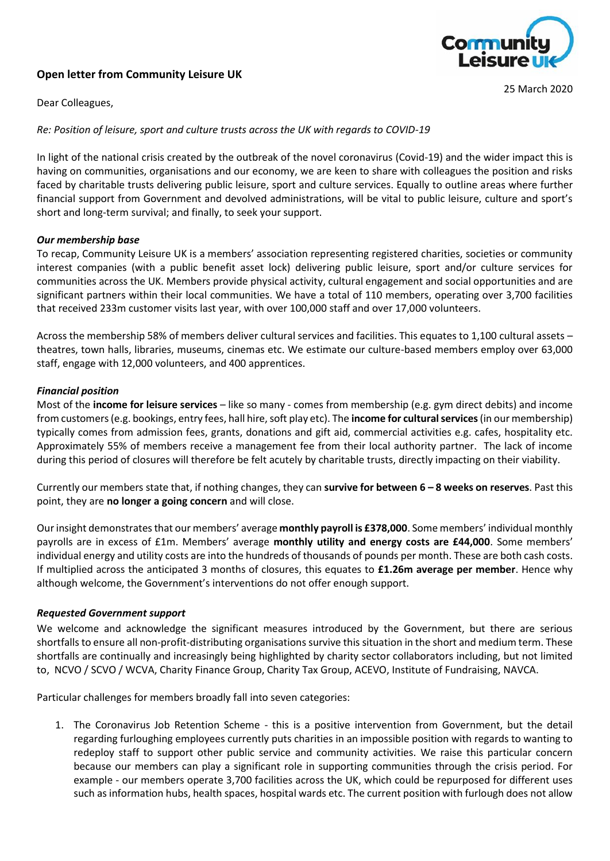# **Open letter from Community Leisure UK**



25 March 2020

Dear Colleagues,

# *Re: Position of leisure, sport and culture trusts across the UK with regards to COVID-19*

In light of the national crisis created by the outbreak of the novel coronavirus (Covid-19) and the wider impact this is having on communities, organisations and our economy, we are keen to share with colleagues the position and risks faced by charitable trusts delivering public leisure, sport and culture services. Equally to outline areas where further financial support from Government and devolved administrations, will be vital to public leisure, culture and sport's short and long-term survival; and finally, to seek your support.

# *Our membership base*

To recap, Community Leisure UK is a members' association representing registered charities, societies or community interest companies (with a public benefit asset lock) delivering public leisure, sport and/or culture services for communities across the UK. Members provide physical activity, cultural engagement and social opportunities and are significant partners within their local communities. We have a total of 110 members, operating over 3,700 facilities that received 233m customer visits last year, with over 100,000 staff and over 17,000 volunteers.

Across the membership 58% of members deliver cultural services and facilities. This equates to 1,100 cultural assets – theatres, town halls, libraries, museums, cinemas etc. We estimate our culture-based members employ over 63,000 staff, engage with 12,000 volunteers, and 400 apprentices.

# *Financial position*

Most of the **income for leisure services** – like so many - comes from membership (e.g. gym direct debits) and income from customers (e.g. bookings, entry fees, hall hire, soft play etc). The **income for cultural services**(in our membership) typically comes from admission fees, grants, donations and gift aid, commercial activities e.g. cafes, hospitality etc. Approximately 55% of members receive a management fee from their local authority partner. The lack of income during this period of closures will therefore be felt acutely by charitable trusts, directly impacting on their viability.

Currently our members state that, if nothing changes, they can **survive for between 6 – 8 weeks on reserves**. Past this point, they are **no longer a going concern** and will close.

Our insight demonstrates that our members' average **monthly payroll is £378,000**. Some members' individual monthly payrolls are in excess of £1m. Members' average **monthly utility and energy costs are £44,000**. Some members' individual energy and utility costs are into the hundreds of thousands of pounds per month. These are both cash costs. If multiplied across the anticipated 3 months of closures, this equates to **£1.26m average per member**. Hence why although welcome, the Government's interventions do not offer enough support.

### *Requested Government support*

We welcome and acknowledge the significant measures introduced by the Government, but there are serious shortfalls to ensure all non-profit-distributing organisations survive this situation in the short and medium term. These shortfalls are continually and increasingly being highlighted by charity sector collaborators including, but not limited to, NCVO / SCVO / WCVA, Charity Finance Group, Charity Tax Group, ACEVO, Institute of Fundraising, NAVCA.

Particular challenges for members broadly fall into seven categories:

1. The Coronavirus Job Retention Scheme - this is a positive intervention from Government, but the detail regarding furloughing employees currently puts charities in an impossible position with regards to wanting to redeploy staff to support other public service and community activities. We raise this particular concern because our members can play a significant role in supporting communities through the crisis period. For example - our members operate 3,700 facilities across the UK, which could be repurposed for different uses such as information hubs, health spaces, hospital wards etc. The current position with furlough does not allow